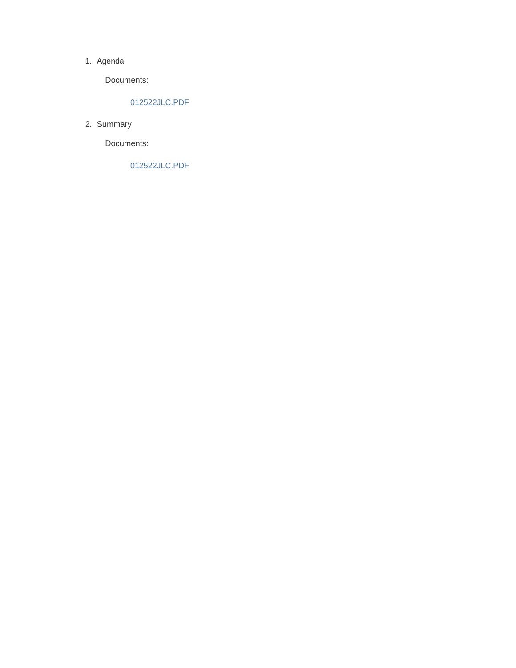#### 1. Agenda

Documents:

#### 012522JLC.PDF

2. Summary

Documents:

012522JLC.PDF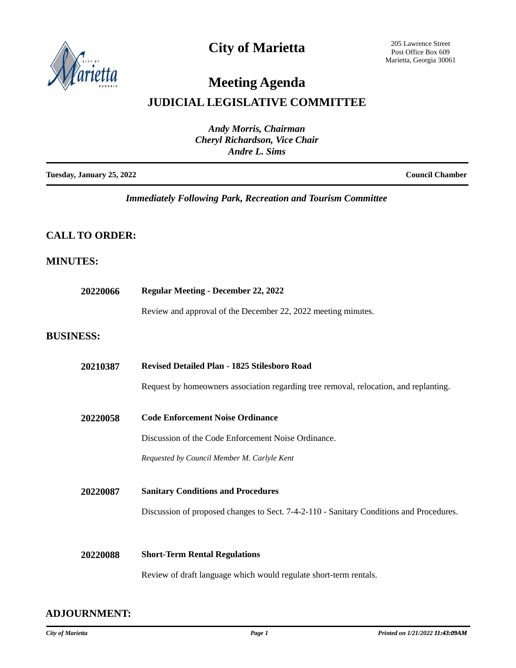

## **City of Marietta**

205 Lawrence Street Post Office Box 609 Marietta, Georgia 30061

## **Meeting Agenda**

### **JUDICIAL LEGISLATIVE COMMITTEE**

| <b>Andy Morris, Chairman</b><br><b>Cheryl Richardson, Vice Chair</b><br>Andre L. Sims |  |                        |
|---------------------------------------------------------------------------------------|--|------------------------|
| Tuesday, January 25, 2022                                                             |  | <b>Council Chamber</b> |

*Immediately Following Park, Recreation and Tourism Committee*

### **CALL TO ORDER:**

### **MINUTES:**

| 20220066         | <b>Regular Meeting - December 22, 2022</b>                                              |  |
|------------------|-----------------------------------------------------------------------------------------|--|
|                  | Review and approval of the December 22, 2022 meeting minutes.                           |  |
| <b>BUSINESS:</b> |                                                                                         |  |
| 20210387         | Revised Detailed Plan - 1825 Stilesboro Road                                            |  |
|                  | Request by homeowners association regarding tree removal, relocation, and replanting.   |  |
| 20220058         | <b>Code Enforcement Noise Ordinance</b>                                                 |  |
|                  | Discussion of the Code Enforcement Noise Ordinance.                                     |  |
|                  | Requested by Council Member M. Carlyle Kent                                             |  |
| 20220087         | <b>Sanitary Conditions and Procedures</b>                                               |  |
|                  | Discussion of proposed changes to Sect. 7-4-2-110 - Sanitary Conditions and Procedures. |  |
|                  |                                                                                         |  |
| 20220088         | <b>Short-Term Rental Regulations</b>                                                    |  |
|                  | Review of draft language which would regulate short-term rentals.                       |  |

**ADJOURNMENT:**